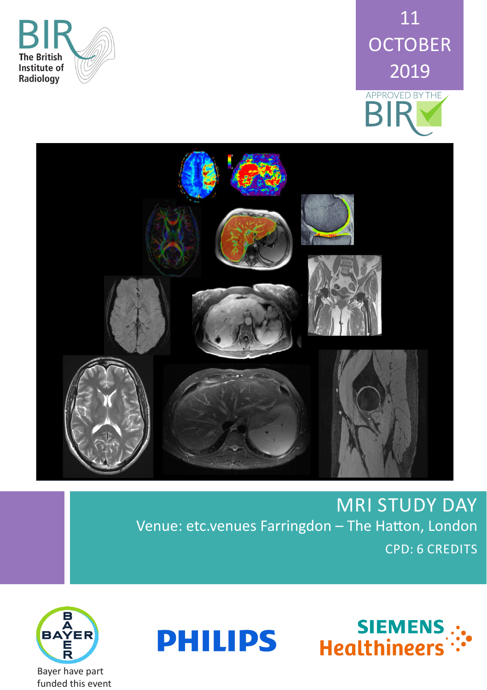





**MRI STUDY DAY** Venue: etc.venues Farringdon - The Hatton, London **CPD: 6 CREDITS** 





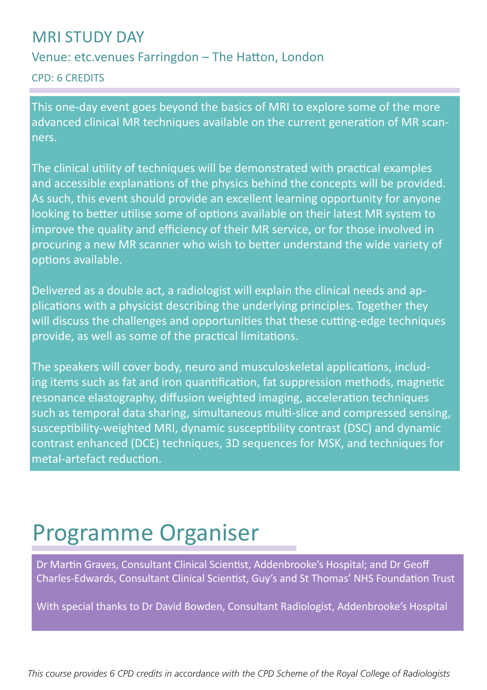## MRI STUDY DAY

## Venue: etc.venues Farringdon – The Hatton, London

CPD: 6 CREDITS

This one-day event goes beyond the basics of MRI to explore some of the more advanced clinical MR techniques available on the current generation of MR scanners.

The clinical utility of techniques will be demonstrated with practical examples and accessible explanations of the physics behind the concepts will be provided. As such, this event should provide an excellent learning opportunity for anyone looking to better utilise some of options available on their latest MR system to improve the quality and efficiency of their MR service, or for those involved in procuring a new MR scanner who wish to better understand the wide variety of options available.

Delivered as a double act, a radiologist will explain the clinical needs and applications with a physicist describing the underlying principles. Together they will discuss the challenges and opportunities that these cutting-edge techniques provide, as well as some of the practical limitations.

The speakers will cover body, neuro and musculoskeletal applications, including items such as fat and iron quantification, fat suppression methods, magnetic resonance elastography, diffusion weighted imaging, acceleration techniques such as temporal data sharing, simultaneous multi-slice and compressed sensing, susceptibility-weighted MRI, dynamic susceptibility contrast (DSC) and dynamic contrast enhanced (DCE) techniques, 3D sequences for MSK, and techniques for metal-artefact reduction.

# Programme Organiser

Dr Martin Graves, Consultant Clinical Scientist, Addenbrooke's Hospital; and Dr Geoff Charles-Edwards, Consultant Clinical Scientist, Guy's and St Thomas' NHS Foundation Trust

With special thanks to Dr David Bowden, Consultant Radiologist, Addenbrooke's Hospital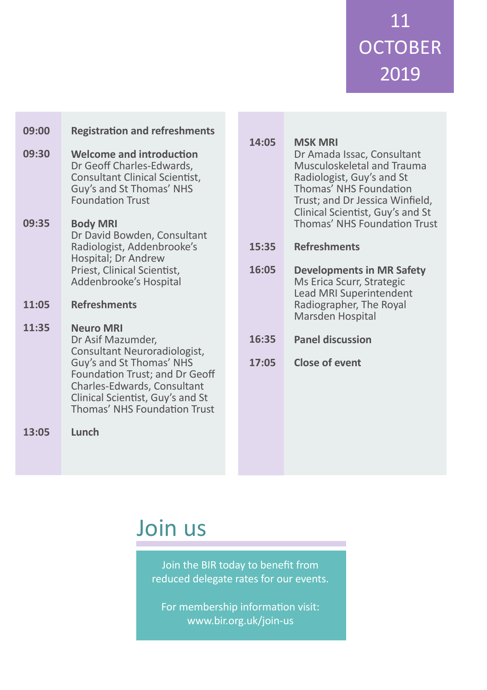11 **OCTOBER** 2019

| 09:00<br>09:30 | <b>Registration and refreshments</b><br><b>Welcome and introduction</b><br>Dr Geoff Charles-Edwards,<br>Consultant Clinical Scientist,<br>Guy's and St Thomas' NHS<br><b>Foundation Trust</b>                                                                 | 14:05          | <b>MSK MRI</b><br>Dr Amada Issac, Consultant<br>Musculoskeletal and Trauma<br>Radiologist, Guy's and St<br>Thomas' NHS Foundation<br>Trust; and Dr Jessica Winfield,<br>Clinical Scientist, Guy's and St |
|----------------|---------------------------------------------------------------------------------------------------------------------------------------------------------------------------------------------------------------------------------------------------------------|----------------|----------------------------------------------------------------------------------------------------------------------------------------------------------------------------------------------------------|
| 09:35          | <b>Body MRI</b><br>Dr David Bowden, Consultant<br>Radiologist, Addenbrooke's<br>Hospital; Dr Andrew<br>Priest, Clinical Scientist,<br>Addenbrooke's Hospital                                                                                                  | 15:35<br>16:05 | Thomas' NHS Foundation Trust<br><b>Refreshments</b><br><b>Developments in MR Safety</b><br>Ms Erica Scurr, Strategic<br>Lead MRI Superintendent                                                          |
| 11:05<br>11:35 | <b>Refreshments</b><br><b>Neuro MRI</b><br>Dr Asif Mazumder,<br>Consultant Neuroradiologist,<br>Guy's and St Thomas' NHS<br>Foundation Trust; and Dr Geoff<br>Charles-Edwards, Consultant<br>Clinical Scientist, Guy's and St<br>Thomas' NHS Foundation Trust | 16:35<br>17:05 | Radiographer, The Royal<br>Marsden Hospital<br><b>Panel discussion</b><br><b>Close of event</b>                                                                                                          |
| 13:05          | Lunch                                                                                                                                                                                                                                                         |                |                                                                                                                                                                                                          |

# Join us

Join the BIR today to benefit from reduced delegate rates for our events.

For membership information visit: www.bir.org.uk/join-us